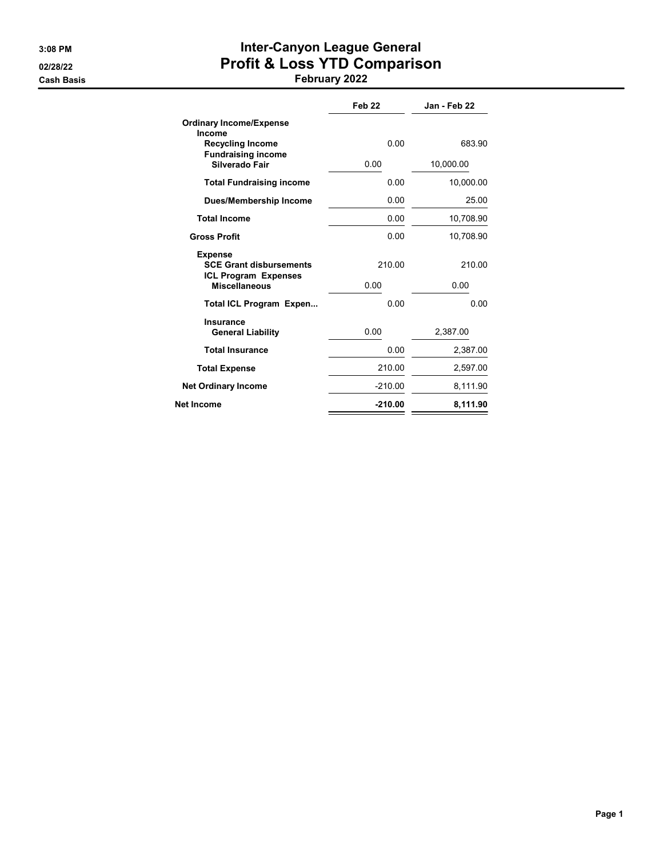## 3:08 PM **Inter-Canyon League General** 02/28/22 **Profit & Loss YTD Comparison**

Cash Basis February 2022

| Feb <sub>22</sub> | Jan - Feb 22 |
|-------------------|--------------|
| 0.00              | 683.90       |
| 0.00              | 10,000.00    |
| 0.00              | 10,000.00    |
| 0.00              | 25.00        |
| 0.00              | 10,708.90    |
| 0.00              | 10,708.90    |
| 210.00            | 210.00       |
| 0.00              | 0.00         |
| 0.00              | 0.00         |
| 0.00              | 2,387.00     |
| 0.00              | 2,387.00     |
| 210.00            | 2,597.00     |
| $-210.00$         | 8,111.90     |
| $-210.00$         | 8,111.90     |
|                   |              |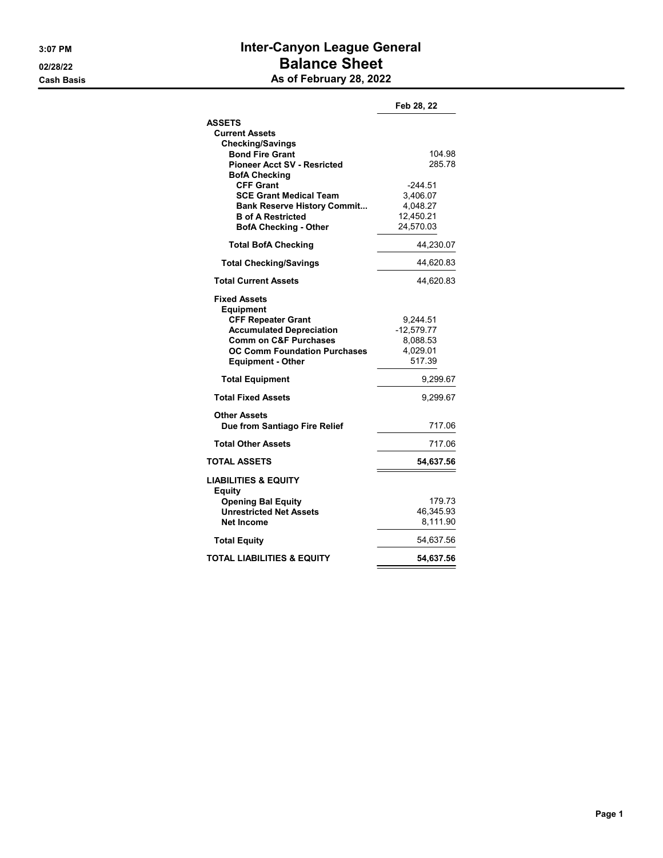## 3:07 PM **Inter-Canyon League General** 02/28/22 **Balance Sheet** Cash Basis **As of February 28, 2022**

|                                                                         | Feb 28, 22           |
|-------------------------------------------------------------------------|----------------------|
| <b>ASSETS</b>                                                           |                      |
| <b>Current Assets</b>                                                   |                      |
| <b>Checking/Savings</b>                                                 |                      |
| <b>Bond Fire Grant</b>                                                  | 104.98               |
| <b>Pioneer Acct SV - Resricted</b>                                      | 285.78               |
| <b>BofA Checking</b><br><b>CFF Grant</b>                                | -244.51              |
| <b>SCE Grant Medical Team</b>                                           | 3,406.07             |
| <b>Bank Reserve History Commit</b>                                      | 4,048.27             |
| <b>B</b> of A Restricted                                                | 12,450.21            |
| <b>BofA Checking - Other</b>                                            | 24,570.03            |
| <b>Total BofA Checking</b>                                              | 44,230.07            |
| <b>Total Checking/Savings</b>                                           | 44,620.83            |
| <b>Total Current Assets</b>                                             | 44,620.83            |
| <b>Fixed Assets</b><br><b>Equipment</b>                                 |                      |
| <b>CFF Repeater Grant</b>                                               | 9,244.51             |
| <b>Accumulated Depreciation</b>                                         | $-12,579.77$         |
| <b>Comm on C&amp;F Purchases</b><br><b>OC Comm Foundation Purchases</b> | 8,088.53<br>4,029.01 |
| <b>Equipment - Other</b>                                                | 517.39               |
|                                                                         |                      |
| <b>Total Equipment</b>                                                  | 9,299.67             |
| <b>Total Fixed Assets</b>                                               | 9,299.67             |
| <b>Other Assets</b>                                                     |                      |
| Due from Santiago Fire Relief                                           | 717.06               |
| <b>Total Other Assets</b>                                               | 717.06               |
| <b>TOTAL ASSETS</b>                                                     | 54,637.56            |
| <b>LIABILITIES &amp; EQUITY</b><br><b>Equity</b>                        |                      |
| <b>Opening Bal Equity</b>                                               | 179.73               |
| <b>Unrestricted Net Assets</b>                                          | 46,345.93            |
| <b>Net Income</b>                                                       | 8,111.90             |
| <b>Total Equity</b>                                                     | 54,637.56            |
| <b>TOTAL LIABILITIES &amp; EQUITY</b>                                   | 54,637.56            |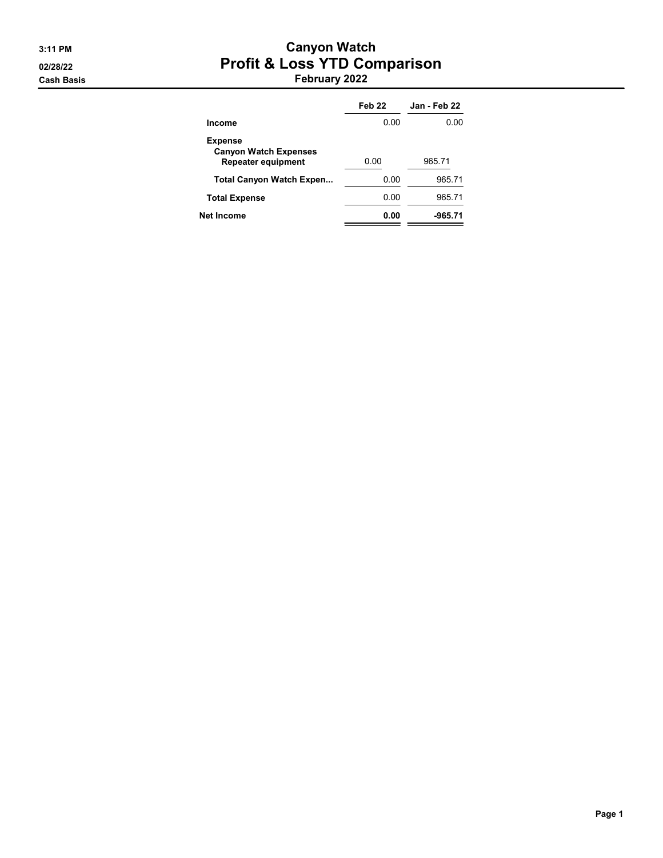#### 3:11 PM Canyon Watch 02/28/22 **Profit & Loss YTD Comparison** Cash Basis February 2022

|                                                                             | Feb 22 | Jan - Feb 22 |
|-----------------------------------------------------------------------------|--------|--------------|
| Income                                                                      | 0.OO   | 0.OO         |
| <b>Expense</b><br><b>Canyon Watch Expenses</b><br><b>Repeater equipment</b> | 0.00   | 965.71       |
| Total Canyon Watch Expen                                                    | 0.00   | 965.71       |
| <b>Total Expense</b>                                                        | 0.00   | 965.71       |
| Net Income                                                                  | 0.00   | -965.71      |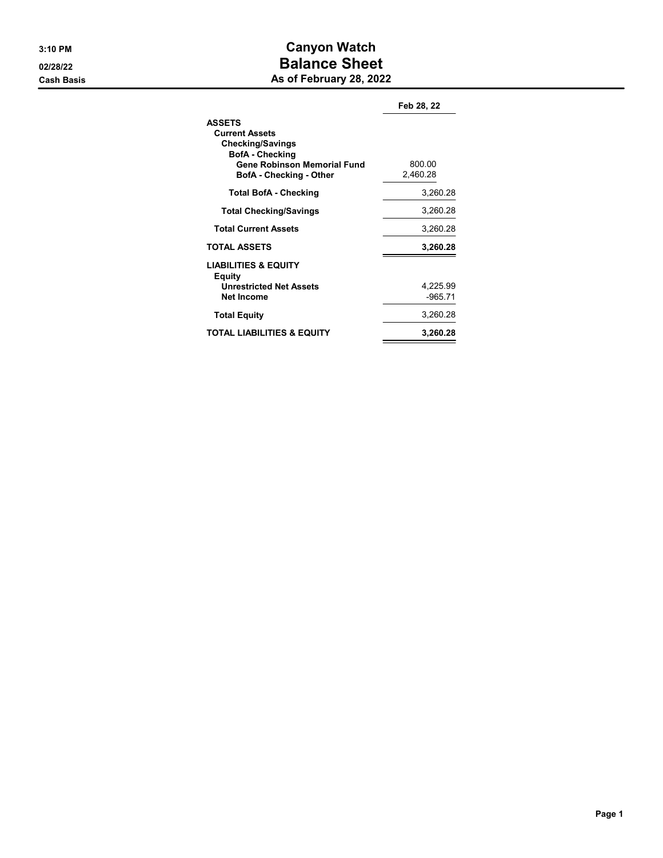## 3:10 PM Canyon Watch 02/28/22 **Balance Sheet** Cash Basis **As of February 28, 2022**

|                                                                                                                                                              | Feb 28, 22            |
|--------------------------------------------------------------------------------------------------------------------------------------------------------------|-----------------------|
| <b>ASSETS</b><br><b>Current Assets</b><br><b>Checking/Savings</b><br><b>BofA</b> - Checking<br><b>Gene Robinson Memorial Fund</b><br>BofA - Checking - Other | 800.00<br>2,460.28    |
| <b>Total BofA - Checking</b>                                                                                                                                 | 3,260.28              |
| <b>Total Checking/Savings</b>                                                                                                                                | 3,260.28              |
| <b>Total Current Assets</b>                                                                                                                                  | 3,260.28              |
| <b>TOTAL ASSETS</b>                                                                                                                                          | 3,260.28              |
| <b>LIABILITIES &amp; EQUITY</b><br>Equity<br><b>Unrestricted Net Assets</b><br><b>Net Income</b>                                                             | 4,225.99<br>$-965.71$ |
| <b>Total Equity</b>                                                                                                                                          | 3,260.28              |
| <b>TOTAL LIABILITIES &amp; EQUITY</b>                                                                                                                        | 3,260.28              |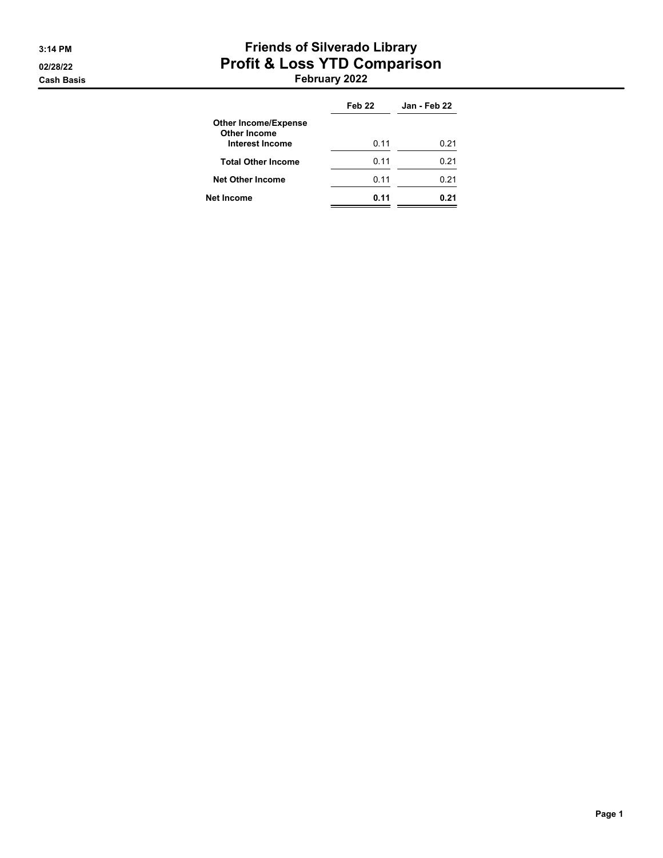#### 3:14 PM **Friends of Silverado Library** 02/28/22 **Profit & Loss YTD Comparison** Cash Basis February 2022

|                                             | Feb <sub>22</sub> | Jan - Feb 22 |
|---------------------------------------------|-------------------|--------------|
| <b>Other Income/Expense</b><br>Other Income |                   |              |
| <b>Interest Income</b>                      | 0.11              | 0.21         |
| <b>Total Other Income</b>                   | 0.11              | 0.21         |
| <b>Net Other Income</b>                     | 0.11              | 0.21         |
| Net Income                                  | 0.11              | በ 21         |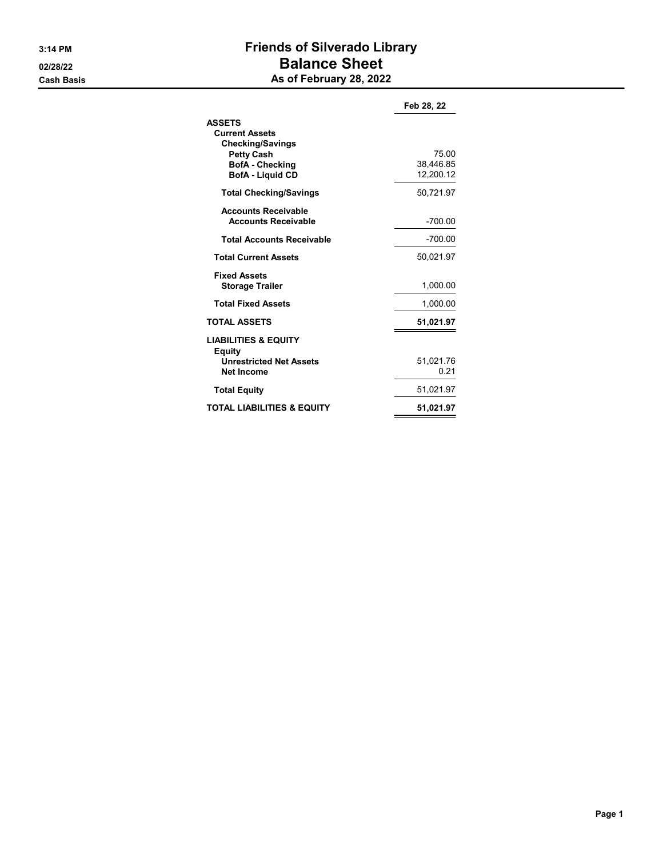## 3:14 PM Friends of Silverado Library o2/28/22 **Balance Sheet** Cash Basis **As of February 28, 2022**

|                                                                                                                                             | Feb 28, 22                      |
|---------------------------------------------------------------------------------------------------------------------------------------------|---------------------------------|
| <b>ASSETS</b><br><b>Current Assets</b><br><b>Checking/Savings</b><br><b>Petty Cash</b><br><b>BofA</b> - Checking<br><b>BofA</b> - Liquid CD | 75.00<br>38,446.85<br>12,200.12 |
| <b>Total Checking/Savings</b>                                                                                                               | 50,721.97                       |
| <b>Accounts Receivable</b><br><b>Accounts Receivable</b>                                                                                    | -700.00                         |
| <b>Total Accounts Receivable</b>                                                                                                            | $-700.00$                       |
| <b>Total Current Assets</b>                                                                                                                 | 50,021.97                       |
| <b>Fixed Assets</b><br><b>Storage Trailer</b>                                                                                               | 1,000.00                        |
| <b>Total Fixed Assets</b>                                                                                                                   | 1,000.00                        |
| <b>TOTAL ASSETS</b>                                                                                                                         | 51,021.97                       |
| <b>LIABILITIES &amp; EQUITY</b><br><b>Equity</b><br><b>Unrestricted Net Assets</b><br>Net Income                                            | 51.021.76<br>0.21               |
| <b>Total Equity</b>                                                                                                                         | 51,021.97                       |
| <b>TOTAL LIABILITIES &amp; EQUITY</b>                                                                                                       | 51,021.97                       |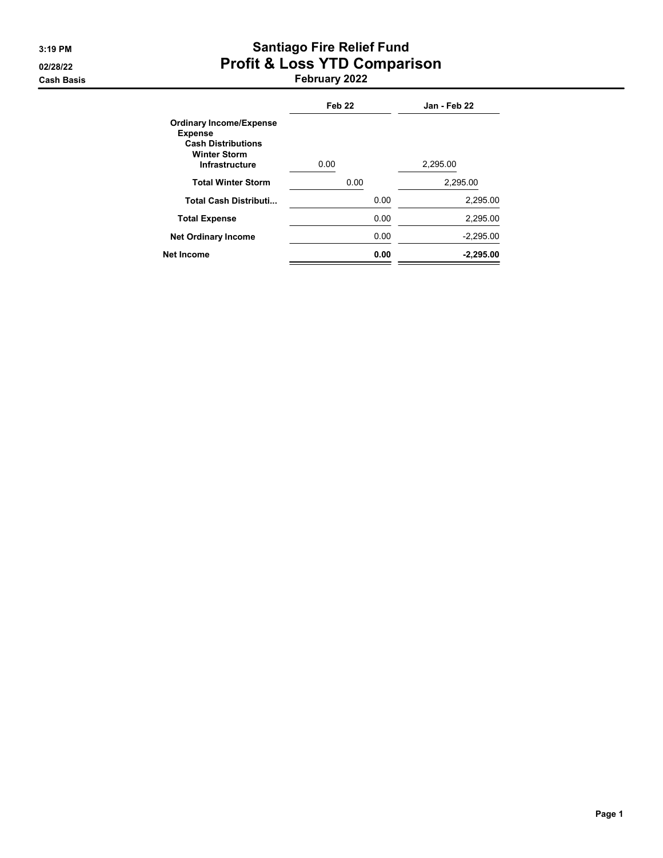# 3:19 PM Santiago Fire Relief Fund 02/28/22 **Profit & Loss YTD Comparison**

Cash Basis February 2022

|                                                                                                                               | Feb <sub>22</sub> | Jan - Feb 22 |
|-------------------------------------------------------------------------------------------------------------------------------|-------------------|--------------|
| <b>Ordinary Income/Expense</b><br><b>Expense</b><br><b>Cash Distributions</b><br><b>Winter Storm</b><br><b>Infrastructure</b> | 0.00              | 2.295.00     |
| <b>Total Winter Storm</b>                                                                                                     | 0.00              | 2,295.00     |
| <b>Total Cash Distributi</b>                                                                                                  | 0.00              | 2,295.00     |
| <b>Total Expense</b>                                                                                                          | 0.00              | 2.295.00     |
| <b>Net Ordinary Income</b>                                                                                                    | 0.00              | $-2.295.00$  |
| Net Income                                                                                                                    | 0.00              | $-2,295.00$  |